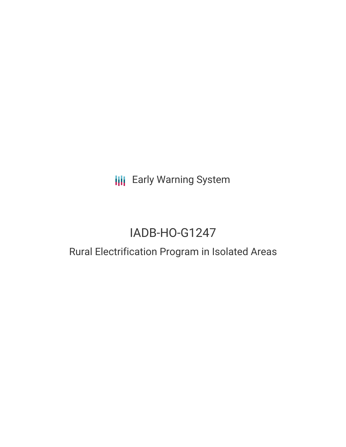**III** Early Warning System

# IADB-HO-G1247

## Rural Electrification Program in Isolated Areas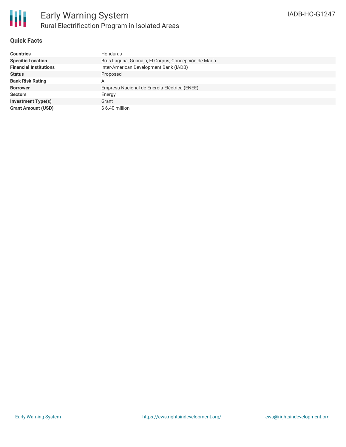

#### **Quick Facts**

| <b>Countries</b>              | Honduras                                             |
|-------------------------------|------------------------------------------------------|
| <b>Specific Location</b>      | Brus Laguna, Guanaja, El Corpus, Concepción de María |
| <b>Financial Institutions</b> | Inter-American Development Bank (IADB)               |
| <b>Status</b>                 | Proposed                                             |
| <b>Bank Risk Rating</b>       | А                                                    |
| <b>Borrower</b>               | Empresa Nacional de Energía Eléctrica (ENEE)         |
| <b>Sectors</b>                | Energy                                               |
| <b>Investment Type(s)</b>     | Grant                                                |
| <b>Grant Amount (USD)</b>     | $$6.40$ million                                      |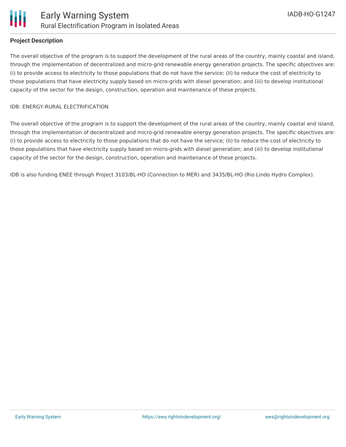#### **Project Description**

The overall objective of the program is to support the development of the rural areas of the country, mainly coastal and island, through the implementation of decentralized and micro-grid renewable energy generation projects. The specific objectives are: (i) to provide access to electricity to those populations that do not have the service; (Ii) to reduce the cost of electricity to those populations that have electricity supply based on micro-grids with diesel generation; and (iii) to develop institutional capacity of the sector for the design, construction, operation and maintenance of these projects.

#### IDB: ENERGY-RURAL ELECTRIFICATION

The overall objective of the program is to support the development of the rural areas of the country, mainly coastal and island, through the implementation of decentralized and micro-grid renewable energy generation projects. The specific objectives are: (i) to provide access to electricity to those populations that do not have the service; (Ii) to reduce the cost of electricity to those populations that have electricity supply based on micro-grids with diesel generation; and (iii) to develop institutional capacity of the sector for the design, construction, operation and maintenance of these projects.

IDB is also funding ENEE through Project 3103/BL-HO (Connection to MER) and 3435/BL-HO (Rio Lindo Hydro Complex).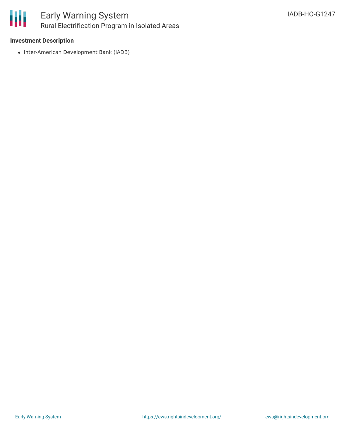

#### **Investment Description**

• Inter-American Development Bank (IADB)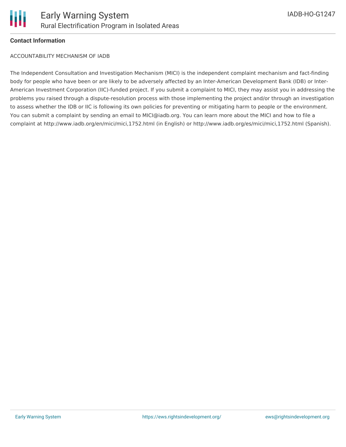

#### **Contact Information**

ACCOUNTABILITY MECHANISM OF IADB

The Independent Consultation and Investigation Mechanism (MICI) is the independent complaint mechanism and fact-finding body for people who have been or are likely to be adversely affected by an Inter-American Development Bank (IDB) or Inter-American Investment Corporation (IIC)-funded project. If you submit a complaint to MICI, they may assist you in addressing the problems you raised through a dispute-resolution process with those implementing the project and/or through an investigation to assess whether the IDB or IIC is following its own policies for preventing or mitigating harm to people or the environment. You can submit a complaint by sending an email to MICI@iadb.org. You can learn more about the MICI and how to file a complaint at http://www.iadb.org/en/mici/mici,1752.html (in English) or http://www.iadb.org/es/mici/mici,1752.html (Spanish).